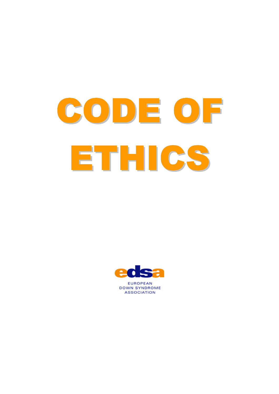



**EUROPEAN DOWN SYNDROME ASSOCIATION**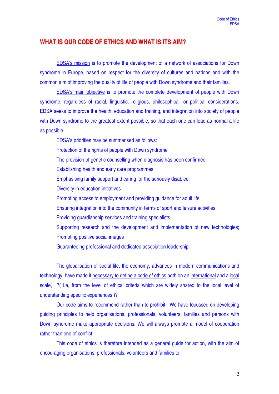## **WHAT IS OUR CODE OF ETHICS AND WHAT IS ITS AIM?**

EDSA's mission is to promote the development of a network of associations for Down syndrome in Europe, based on respect for the diversity of cultures and nations and with the common aim of improving the quality of life of people with Down syndrome and their families.

EDSA's main objective is to promote the complete development of people with Down syndrome, regardless of racial, linguistic, religious, philosophical, or political considerations. EDSA seeks to improve the health, education and training, and integration into society of people with Down syndrome to the greatest extent possible, so that each one can lead as normal a life as possible.

EDSA's priorities may be summarised as follows: Protection of the rights of people with Down syndrome The provision of genetic counselling when diagnosis has been confirmed Establishing health and early care programmes Emphasising family support and caring for the seriously disabled Diversity in education initiatives Promoting access to employment and providing guidance for adult life Ensuring integration into the community in terms of sport and leisure activities Providing guardianship services and training specialists Supporting research and the development and implementation of new technologies; Promoting positive social images Guaranteeing professional and dedicated association leadership.

The globalisation of social life, the economy, advances in modern communications and technology have made it necessary to define a code of ethics both on an international and a local scale, ?( i.e, from the level of ethical criteria which are widely shared to the local level of understanding specific experiences.)?

Our code aims to recommend rather than to prohibit. We have focussed on developing guiding principles to help organisations, professionals, volunteers, families and persons with Down syndrome make appropriate decisions. We will always promote a model of cooperation rather than one of conflict.

This code of ethics is therefore intended as a general guide for action, with the aim of encouraging organisations, professionals, volunteers and families to: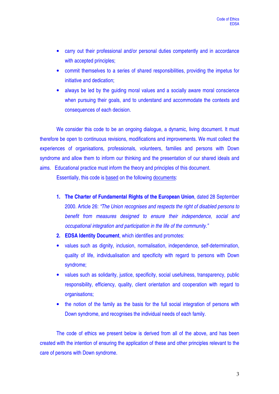- carry out their professional and/or personal duties competently and in accordance with accepted principles;
- commit themselves to a series of shared responsibilities, providing the impetus for initiative and dedication;
- always be led by the quiding moral values and a socially aware moral conscience when pursuing their goals, and to understand and accommodate the contexts and consequences of each decision.

We consider this code to be an ongoing dialogue, a dynamic, living document. It must therefore be open to continuous revisions, modifications and improvements. We must collect the experiences of organisations, professionals, volunteers, families and persons with Down syndrome and allow them to inform our thinking and the presentation of our shared ideals and aims. Educational practice must inform the theory and principles of this document.

Essentially, this code is based on the following documents:

- **1. The Charter of Fundamental Rights of the European Union**, dated 28 September 2000. Article 26: *"The Union recognises and respects the right of disabled persons to benefit from measures designed to ensure their independence, social and occupational integration and participation in the life of the community."*
- **2. EDSA Identity Document**, which identifies and promotes:
- values such as dignity, inclusion, normalisation, independence, self-determination, quality of life, individualisation and specificity with regard to persons with Down syndrome;
- values such as solidarity, justice, specificity, social usefulness, transparency, public responsibility, efficiency, quality, client orientation and cooperation with regard to organisations;
- the notion of the family as the basis for the full social integration of persons with Down syndrome, and recognises the individual needs of each family.

The code of ethics we present below is derived from all of the above, and has been created with the intention of ensuring the application of these and other principles relevant to the care of persons with Down syndrome.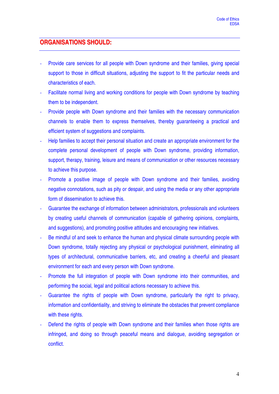## **ORGANISATIONS SHOULD:**

- Provide care services for all people with Down syndrome and their families, giving special support to those in difficult situations, adjusting the support to fit the particular needs and characteristics of each.
- Facilitate normal living and working conditions for people with Down syndrome by teaching them to be independent.
- Provide people with Down syndrome and their families with the necessary communication channels to enable them to express themselves, thereby guaranteeing a practical and efficient system of suggestions and complaints.
- Help families to accept their personal situation and create an appropriate environment for the complete personal development of people with Down syndrome, providing information, support, therapy, training, leisure and means of communication or other resources necessary to achieve this purpose.
- Promote a positive image of people with Down syndrome and their families, avoiding negative connotations, such as pity or despair, and using the media or any other appropriate form of dissemination to achieve this.
- Guarantee the exchange of information between administrators, professionals and volunteers by creating useful channels of communication (capable of gathering opinions, complaints, and suggestions), and promoting positive attitudes and encouraging new initiatives.
- Be mindful of and seek to enhance the human and physical climate surrounding people with Down syndrome, totally rejecting any physical or psychological punishment, eliminating all types of architectural, communicative barriers, etc, and creating a cheerful and pleasant environment for each and every person with Down syndrome.
- Promote the full integration of people with Down syndrome into their communities, and performing the social, legal and political actions necessary to achieve this.
- Guarantee the rights of people with Down syndrome, particularly the right to privacy, information and confidentiality, and striving to eliminate the obstacles that prevent compliance with these rights.
- Defend the rights of people with Down syndrome and their families when those rights are infringed, and doing so through peaceful means and dialogue, avoiding segregation or conflict.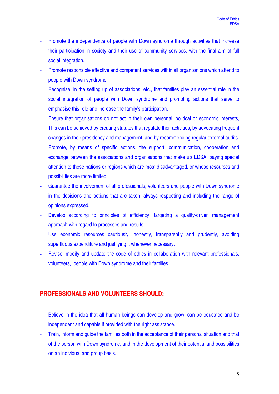- Promote the independence of people with Down syndrome through activities that increase their participation in society and their use of community services, with the final aim of full social integration.
- Promote responsible effective and competent services within all organisations which attend to people with Down syndrome.
- Recognise, in the setting up of associations, etc., that families play an essential role in the social integration of people with Down syndrome and promoting actions that serve to emphasise this role and increase the family's participation.
- Ensure that organisations do not act in their own personal, political or economic interests, This can be achieved by creating statutes that regulate their activities, by advocating frequent changes in their presidency and management, and by recommending regular external audits.
- Promote, by means of specific actions, the support, communication, cooperation and exchange between the associations and organisations that make up EDSA, paying special attention to those nations or regions which are most disadvantaged, or whose resources and possibilities are more limited.
- Guarantee the involvement of all professionals, volunteers and people with Down syndrome in the decisions and actions that are taken, always respecting and including the range of opinions expressed.
- Develop according to principles of efficiency, targeting a quality-driven management approach with regard to processes and results.
- Use economic resources cautiously, honestly, transparently and prudently, avoiding superfluous expenditure and justifying it whenever necessary.
- Revise, modify and update the code of ethics in collaboration with relevant professionals, volunteers, people with Down syndrome and their families.

## **PROFESSIONALS AND VOLUNTEERS SHOULD:**

- Believe in the idea that all human beings can develop and grow, can be educated and be independent and capable if provided with the right assistance.
- Train, inform and guide the families both in the acceptance of their personal situation and that of the person with Down syndrome, and in the development of their potential and possibilities on an individual and group basis.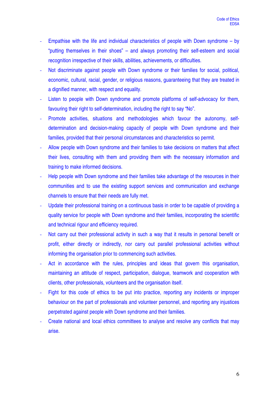- Empathise with the life and individual characteristics of people with Down syndrome  $-$  by "putting themselves in their shoes" – and always promoting their self-esteem and social recognition irrespective of their skills, abilities, achievements, or difficulties.
- Not discriminate against people with Down syndrome or their families for social, political, economic, cultural, racial, gender, or religious reasons, guaranteeing that they are treated in a dignified manner, with respect and equality.
- Listen to people with Down syndrome and promote platforms of self-advocacy for them, favouring their right to self-determination, including the right to say "No".
- Promote activities, situations and methodologies which favour the autonomy, selfdetermination and decision-making capacity of people with Down syndrome and their families, provided that their personal circumstances and characteristics so permit.
- Allow people with Down syndrome and their families to take decisions on matters that affect their lives, consulting with them and providing them with the necessary information and training to make informed decisions.
- Help people with Down syndrome and their families take advantage of the resources in their communities and to use the existing support services and communication and exchange channels to ensure that their needs are fully met.
- Update their professional training on a continuous basis in order to be capable of providing a quality service for people with Down syndrome and their families, incorporating the scientific and technical rigour and efficiency required.
- Not carry out their professional activity in such a way that it results in personal benefit or profit, either directly or indirectly, nor carry out parallel professional activities without informing the organisation prior to commencing such activities.
- Act in accordance with the rules, principles and ideas that govern this organisation, maintaining an attitude of respect, participation, dialogue, teamwork and cooperation with clients, other professionals, volunteers and the organisation itself.
- Fight for this code of ethics to be put into practice, reporting any incidents or improper behaviour on the part of professionals and volunteer personnel, and reporting any injustices perpetrated against people with Down syndrome and their families.
- Create national and local ethics committees to analyse and resolve any conflicts that may arise.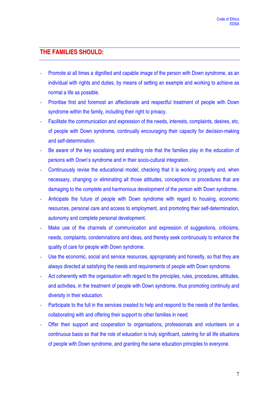## **THE FAMILIES SHOULD:**

- Promote at all times a dignified and capable image of the person with Down syndrome, as an individual with rights and duties, by means of setting an example and working to achieve as normal a life as possible.
- Prioritise first and foremost an affectionate and respectful treatment of people with Down syndrome within the family, including their right to privacy.
- Facilitate the communication and expression of the needs, interests, complaints, desires, etc, of people with Down syndrome, continually encouraging their capacity for decision-making and self-determination.
- Be aware of the key socialising and enabling role that the families play in the education of persons with Down's syndrome and in their socio-cultural integration.
- Continuously revise the educational model, checking that it is working properly and, when necessary, changing or eliminating all those attitudes, conceptions or procedures that are damaging to the complete and harmonious development of the person with Down syndrome.
- Anticipate the future of people with Down syndrome with regard to housing, economic resources, personal care and access to employment, and promoting their self-determination, autonomy and complete personal development.
- Make use of the channels of communication and expression of suggestions, criticisms, needs, complaints, condemnations and ideas, and thereby seek continuously to enhance the quality of care for people with Down syndrome.
- Use the economic, social and service resources, appropriately and honestly, so that they are always directed at satisfying the needs and requirements of people with Down syndrome.
- Act coherently with the organisation with regard to the principles, rules, procedures, attitudes, and activities, in the treatment of people with Down syndrome, thus promoting continuity and diversity in their education.
- Participate to the full in the services created to help and respond to the needs of the families, collaborating with and offering their support to other families in need.
- Offer their support and cooperation to organisations, professionals and volunteers on a continuous basis so that the role of education is truly significant, catering for all life situations of people with Down syndrome, and granting the same education principles to everyone.